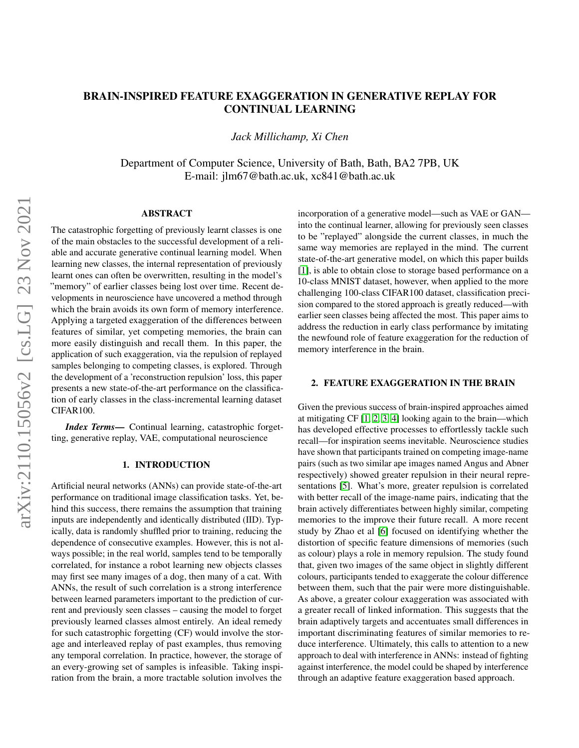# BRAIN-INSPIRED FEATURE EXAGGERATION IN GENERATIVE REPLAY FOR CONTINUAL LEARNING

*Jack Millichamp, Xi Chen*

Department of Computer Science, University of Bath, Bath, BA2 7PB, UK E-mail: jlm67@bath.ac.uk, xc841@bath.ac.uk

# ABSTRACT

The catastrophic forgetting of previously learnt classes is one of the main obstacles to the successful development of a reliable and accurate generative continual learning model. When learning new classes, the internal representation of previously learnt ones can often be overwritten, resulting in the model's "memory" of earlier classes being lost over time. Recent developments in neuroscience have uncovered a method through which the brain avoids its own form of memory interference. Applying a targeted exaggeration of the differences between features of similar, yet competing memories, the brain can more easily distinguish and recall them. In this paper, the application of such exaggeration, via the repulsion of replayed samples belonging to competing classes, is explored. Through the development of a 'reconstruction repulsion' loss, this paper presents a new state-of-the-art performance on the classification of early classes in the class-incremental learning dataset CIFAR100.

*Index Terms*— Continual learning, catastrophic forgetting, generative replay, VAE, computational neuroscience

#### 1. INTRODUCTION

Artificial neural networks (ANNs) can provide state-of-the-art performance on traditional image classification tasks. Yet, behind this success, there remains the assumption that training inputs are independently and identically distributed (IID). Typically, data is randomly shuffled prior to training, reducing the dependence of consecutive examples. However, this is not always possible; in the real world, samples tend to be temporally correlated, for instance a robot learning new objects classes may first see many images of a dog, then many of a cat. With ANNs, the result of such correlation is a strong interference between learned parameters important to the prediction of current and previously seen classes – causing the model to forget previously learned classes almost entirely. An ideal remedy for such catastrophic forgetting (CF) would involve the storage and interleaved replay of past examples, thus removing any temporal correlation. In practice, however, the storage of an every-growing set of samples is infeasible. Taking inspiration from the brain, a more tractable solution involves the incorporation of a generative model—such as VAE or GAN into the continual learner, allowing for previously seen classes to be "replayed" alongside the current classes, in much the same way memories are replayed in the mind. The current state-of-the-art generative model, on which this paper builds [\[1\]](#page-4-0), is able to obtain close to storage based performance on a 10-class MNIST dataset, however, when applied to the more challenging 100-class CIFAR100 dataset, classification precision compared to the stored approach is greatly reduced—with earlier seen classes being affected the most. This paper aims to address the reduction in early class performance by imitating the newfound role of feature exaggeration for the reduction of memory interference in the brain.

# <span id="page-0-0"></span>2. FEATURE EXAGGERATION IN THE BRAIN

Given the previous success of brain-inspired approaches aimed at mitigating CF [\[1,](#page-4-0) [2,](#page-4-1) [3,](#page-4-2) [4\]](#page-4-3) looking again to the brain—which has developed effective processes to effortlessly tackle such recall—for inspiration seems inevitable. Neuroscience studies have shown that participants trained on competing image-name pairs (such as two similar ape images named Angus and Abner respectively) showed greater repulsion in their neural representations [\[5\]](#page-4-4). What's more, greater repulsion is correlated with better recall of the image-name pairs, indicating that the brain actively differentiates between highly similar, competing memories to the improve their future recall. A more recent study by Zhao et al [\[6\]](#page-4-5) focused on identifying whether the distortion of specific feature dimensions of memories (such as colour) plays a role in memory repulsion. The study found that, given two images of the same object in slightly different colours, participants tended to exaggerate the colour difference between them, such that the pair were more distinguishable. As above, a greater colour exaggeration was associated with a greater recall of linked information. This suggests that the brain adaptively targets and accentuates small differences in important discriminating features of similar memories to reduce interference. Ultimately, this calls to attention to a new approach to deal with interference in ANNs: instead of fighting against interference, the model could be shaped by interference through an adaptive feature exaggeration based approach.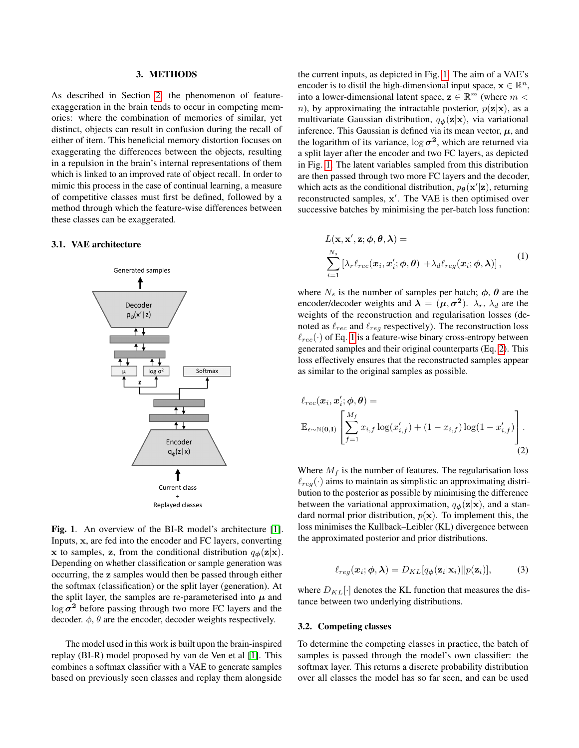#### 3. METHODS

As described in Section [2,](#page-0-0) the phenomenon of featureexaggeration in the brain tends to occur in competing memories: where the combination of memories of similar, yet distinct, objects can result in confusion during the recall of either of item. This beneficial memory distortion focuses on exaggerating the differences between the objects, resulting in a repulsion in the brain's internal representations of them which is linked to an improved rate of object recall. In order to mimic this process in the case of continual learning, a measure of competitive classes must first be defined, followed by a method through which the feature-wise differences between these classes can be exaggerated.

# 3.1. VAE architecture



<span id="page-1-0"></span>Fig. 1. An overview of the BI-R model's architecture [\[1\]](#page-4-0). Inputs, x, are fed into the encoder and FC layers, converting x to samples, z, from the conditional distribution  $q_{\phi}(z|x)$ . Depending on whether classification or sample generation was occurring, the z samples would then be passed through either the softmax (classification) or the split layer (generation). At the split layer, the samples are re-parameterised into  $\mu$  and  $\log \sigma^2$  before passing through two more FC layers and the decoder.  $\phi$ ,  $\theta$  are the encoder, decoder weights respectively.

The model used in this work is built upon the brain-inspired replay (BI-R) model proposed by van de Ven et al [\[1\]](#page-4-0). This combines a softmax classifier with a VAE to generate samples based on previously seen classes and replay them alongside the current inputs, as depicted in Fig. [1.](#page-1-0) The aim of a VAE's encoder is to distil the high-dimensional input space,  $\mathbf{x} \in \mathbb{R}^n$ , into a lower-dimensional latent space,  $\mathbf{z} \in \mathbb{R}^m$  (where  $m <$ n), by approximating the intractable posterior,  $p(\mathbf{z}|\mathbf{x})$ , as a multivariate Gaussian distribution,  $q_{\phi}(\mathbf{z}|\mathbf{x})$ , via variational inference. This Gaussian is defined via its mean vector,  $\mu$ , and the logarithm of its variance,  $\log \sigma^2$ , which are returned via a split layer after the encoder and two FC layers, as depicted in Fig. [1.](#page-1-0) The latent variables sampled from this distribution are then passed through two more FC layers and the decoder, which acts as the conditional distribution,  $p_{\theta}(\mathbf{x}'|\mathbf{z})$ , returning reconstructed samples, x'. The VAE is then optimised over successive batches by minimising the per-batch loss function:

<span id="page-1-1"></span>
$$
L(\mathbf{x}, \mathbf{x}', \mathbf{z}; \boldsymbol{\phi}, \boldsymbol{\theta}, \boldsymbol{\lambda}) =
$$
  

$$
\sum_{i=1}^{N_s} [\lambda_r \ell_{rec}(\mathbf{x}_i, \mathbf{x}'_i; \boldsymbol{\phi}, \boldsymbol{\theta}) + \lambda_d \ell_{reg}(\mathbf{x}_i; \boldsymbol{\phi}, \boldsymbol{\lambda})],
$$
 (1)

where  $N_s$  is the number of samples per batch;  $\phi$ ,  $\theta$  are the encoder/decoder weights and  $\lambda = (\mu, \sigma^2)$ .  $\lambda_r$ ,  $\lambda_d$  are the weights of the reconstruction and regularisation losses (denoted as  $\ell_{rec}$  and  $\ell_{reg}$  respectively). The reconstruction loss  $\ell_{rec}(\cdot)$  of Eq. [1](#page-1-1) is a feature-wise binary cross-entropy between generated samples and their original counterparts (Eq. [2\)](#page-1-2). This loss effectively ensures that the reconstructed samples appear as similar to the original samples as possible.

<span id="page-1-2"></span>
$$
\ell_{rec}(\boldsymbol{x}_i, \boldsymbol{x}'_i; \boldsymbol{\phi}, \boldsymbol{\theta}) = \mathbb{E}_{\epsilon \sim \mathbb{N}(\mathbf{0}, \mathbf{I})} \left[ \sum_{f=1}^{M_f} x_{i,f} \log(x'_{i,f}) + (1 - x_{i,f}) \log(1 - x'_{i,f}) \right].
$$
\n(2)

Where  $M_f$  is the number of features. The regularisation loss  $\ell_{reg}(\cdot)$  aims to maintain as simplistic an approximating distribution to the posterior as possible by minimising the difference between the variational approximation,  $q_{\phi}(\mathbf{z}|\mathbf{x})$ , and a standard normal prior distribution,  $p(x)$ . To implement this, the loss minimises the Kullback–Leibler (KL) divergence between the approximated posterior and prior distributions.

$$
\ell_{reg}(\boldsymbol{x}_i; \boldsymbol{\phi}, \boldsymbol{\lambda}) = D_{KL}[q_{\boldsymbol{\phi}}(\mathbf{z}_i|\mathbf{x}_i)||p(\mathbf{z}_i)], \qquad (3)
$$

where  $D_{KL}[\cdot]$  denotes the KL function that measures the distance between two underlying distributions.

#### <span id="page-1-3"></span>3.2. Competing classes

To determine the competing classes in practice, the batch of samples is passed through the model's own classifier: the softmax layer. This returns a discrete probability distribution over all classes the model has so far seen, and can be used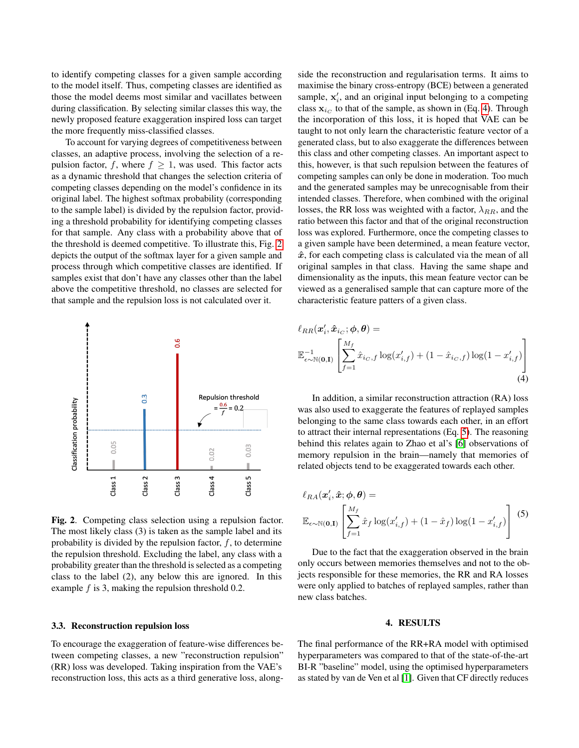to identify competing classes for a given sample according to the model itself. Thus, competing classes are identified as those the model deems most similar and vacillates between during classification. By selecting similar classes this way, the newly proposed feature exaggeration inspired loss can target the more frequently miss-classified classes.

To account for varying degrees of competitiveness between classes, an adaptive process, involving the selection of a repulsion factor, f, where  $f \geq 1$ , was used. This factor acts as a dynamic threshold that changes the selection criteria of competing classes depending on the model's confidence in its original label. The highest softmax probability (corresponding to the sample label) is divided by the repulsion factor, providing a threshold probability for identifying competing classes for that sample. Any class with a probability above that of the threshold is deemed competitive. To illustrate this, Fig. [2](#page-2-0) depicts the output of the softmax layer for a given sample and process through which competitive classes are identified. If samples exist that don't have any classes other than the label above the competitive threshold, no classes are selected for that sample and the repulsion loss is not calculated over it.



<span id="page-2-0"></span>Fig. 2. Competing class selection using a repulsion factor. The most likely class (3) is taken as the sample label and its probability is divided by the repulsion factor,  $f$ , to determine the repulsion threshold. Excluding the label, any class with a probability greater than the threshold is selected as a competing class to the label (2), any below this are ignored. In this example  $f$  is 3, making the repulsion threshold 0.2.

# 3.3. Reconstruction repulsion loss

To encourage the exaggeration of feature-wise differences between competing classes, a new "reconstruction repulsion" (RR) loss was developed. Taking inspiration from the VAE's reconstruction loss, this acts as a third generative loss, alongside the reconstruction and regularisation terms. It aims to maximise the binary cross-entropy (BCE) between a generated sample,  $x'_i$ , and an original input belonging to a competing class  $x_{i_C}$  to that of the sample, as shown in (Eq. [4\)](#page-2-1). Through the incorporation of this loss, it is hoped that VAE can be taught to not only learn the characteristic feature vector of a generated class, but to also exaggerate the differences between this class and other competing classes. An important aspect to this, however, is that such repulsion between the features of competing samples can only be done in moderation. Too much and the generated samples may be unrecognisable from their intended classes. Therefore, when combined with the original losses, the RR loss was weighted with a factor,  $\lambda_{RR}$ , and the ratio between this factor and that of the original reconstruction loss was explored. Furthermore, once the competing classes to a given sample have been determined, a mean feature vector,  $\hat{x}$ , for each competing class is calculated via the mean of all original samples in that class. Having the same shape and dimensionality as the inputs, this mean feature vector can be viewed as a generalised sample that can capture more of the characteristic feature patters of a given class.

$$
\ell_{RR}(\mathbf{x}'_i, \hat{\mathbf{x}}_{ic}; \phi, \theta) =
$$
  

$$
\mathbb{E}_{\epsilon \sim \mathbb{N}(\mathbf{0}, \mathbf{I})}^{-1} \left[ \sum_{f=1}^{M_f} \hat{x}_{i_C, f} \log(x'_{i, f}) + (1 - \hat{x}_{i_C, f}) \log(1 - x'_{i, f}) \right]
$$
  
(4)

<span id="page-2-1"></span>In addition, a similar reconstruction attraction (RA) loss was also used to exaggerate the features of replayed samples belonging to the same class towards each other, in an effort to attract their internal representations (Eq. [5\)](#page-2-2). The reasoning behind this relates again to Zhao et al's [\[6\]](#page-4-5) observations of memory repulsion in the brain—namely that memories of related objects tend to be exaggerated towards each other.

$$
\ell_{RA}(\mathbf{x}'_i, \hat{\mathbf{x}}; \boldsymbol{\phi}, \boldsymbol{\theta}) =
$$

$$
\mathbb{E}_{\epsilon \sim \mathbb{N}(\mathbf{0}, \mathbf{I})} \left[ \sum_{f=1}^{M_f} \hat{x}_f \log(x'_{i,f}) + (1 - \hat{x}_f) \log(1 - x'_{i,f}) \right] (5)
$$

Due to the fact that the exaggeration observed in the brain only occurs between memories themselves and not to the objects responsible for these memories, the RR and RA losses were only applied to batches of replayed samples, rather than new class batches.

# <span id="page-2-2"></span>4. RESULTS

The final performance of the RR+RA model with optimised hyperparameters was compared to that of the state-of-the-art BI-R "baseline" model, using the optimised hyperparameters as stated by van de Ven et al [\[1\]](#page-4-0). Given that CF directly reduces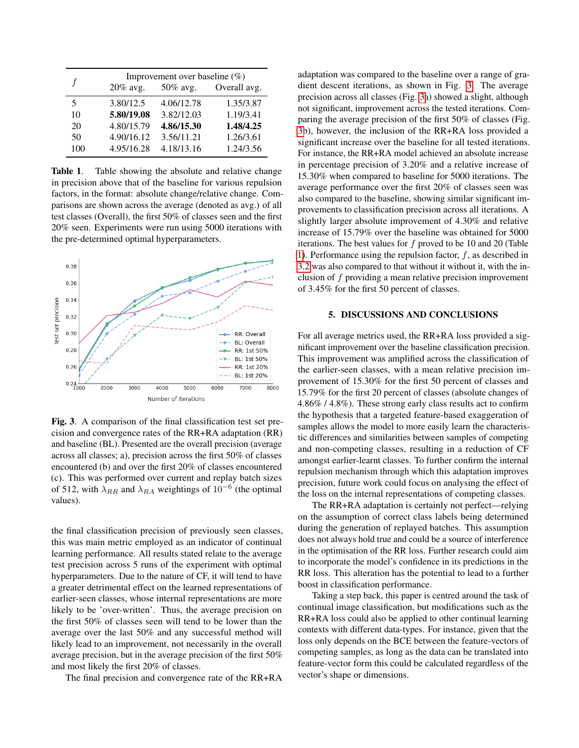| f   | Improvement over baseline (%) |            |              |
|-----|-------------------------------|------------|--------------|
|     | 20% avg.                      | 50% avg.   | Overall avg. |
| 5   | 3.80/12.5                     | 4.06/12.78 | 1.35/3.87    |
| 10  | 5.80/19.08                    | 3.82/12.03 | 1.19/3.41    |
| 20  | 4.80/15.79                    | 4.86/15.30 | 1.48/4.25    |
| 50  | 4.90/16.12                    | 3.56/11.21 | 1.26/3.61    |
| 100 | 4.95/16.28                    | 4.18/13.16 | 1.24/3.56    |

<span id="page-3-1"></span>Table 1. Table showing the absolute and relative change in precision above that of the baseline for various repulsion factors, in the format: absolute change/relative change. Comparisons are shown across the average (denoted as avg.) of all test classes (Overall), the first 50% of classes seen and the first 20% seen. Experiments were run using 5000 iterations with the pre-determined optimal hyperparameters.



<span id="page-3-0"></span>Fig. 3. A comparison of the final classification test set precision and convergence rates of the RR+RA adaptation (RR) and baseline (BL). Presented are the overall precision (average across all classes; a), precision across the first 50% of classes encountered (b) and over the first 20% of classes encountered (c). This was performed over current and replay batch sizes of 512, with  $\lambda_{RR}$  and  $\lambda_{RA}$  weightings of 10<sup>-6</sup> (the optimal values).

the final classification precision of previously seen classes, this was main metric employed as an indicator of continual learning performance. All results stated relate to the average test precision across 5 runs of the experiment with optimal hyperparameters. Due to the nature of CF, it will tend to have a greater detrimental effect on the learned representations of earlier-seen classes, whose internal representations are more likely to be 'over-written'. Thus, the average precision on the first 50% of classes seen will tend to be lower than the average over the last 50% and any successful method will likely lead to an improvement, not necessarily in the overall average precision, but in the average precision of the first 50% and most likely the first 20% of classes.

The final precision and convergence rate of the RR+RA

adaptation was compared to the baseline over a range of gradient descent iterations, as shown in Fig. [3.](#page-3-0) The average precision across all classes (Fig. [3a](#page-3-0)) showed a slight, although not significant, improvement across the tested iterations. Comparing the average precision of the first 50% of classes (Fig. [3b](#page-3-0)), however, the inclusion of the RR+RA loss provided a significant increase over the baseline for all tested iterations. For instance, the RR+RA model achieved an absolute increase in percentage precision of 3.20% and a relative increase of 15.30% when compared to baseline for 5000 iterations. The average performance over the first 20% of classes seen was also compared to the baseline, showing similar significant improvements to classification precision across all iterations. A slightly larger absolute improvement of 4.30% and relative increase of 15.79% over the baseline was obtained for 5000 iterations. The best values for  $f$  proved to be 10 and 20 (Table [1\)](#page-3-1). Performance using the repulsion factor,  $f$ , as described in [3.2](#page-1-3) was also compared to that without it without it, with the inclusion of  $f$  providing a mean relative precision improvement of 3.45% for the first 50 percent of classes.

# 5. DISCUSSIONS AND CONCLUSIONS

For all average metrics used, the RR+RA loss provided a significant improvement over the baseline classification precision. This improvement was amplified across the classification of the earlier-seen classes, with a mean relative precision improvement of 15.30% for the first 50 percent of classes and 15.79% for the first 20 percent of classes (absolute changes of 4.86% / 4.8%). These strong early class results act to confirm the hypothesis that a targeted feature-based exaggeration of samples allows the model to more easily learn the characteristic differences and similarities between samples of competing and non-competing classes, resulting in a reduction of CF amongst earlier-learnt classes. To further confirm the internal repulsion mechanism through which this adaptation improves precision, future work could focus on analysing the effect of the loss on the internal representations of competing classes.

The RR+RA adaptation is certainly not perfect—relying on the assumption of correct class labels being determined during the generation of replayed batches. This assumption does not always hold true and could be a source of interference in the optimisation of the RR loss. Further research could aim to incorporate the model's confidence in its predictions in the RR loss. This alteration has the potential to lead to a further boost in classification performance.

Taking a step back, this paper is centred around the task of continual image classification, but modifications such as the RR+RA loss could also be applied to other continual learning contexts with different data-types. For instance, given that the loss only depends on the BCE between the feature-vectors of competing samples, as long as the data can be translated into feature-vector form this could be calculated regardless of the vector's shape or dimensions.